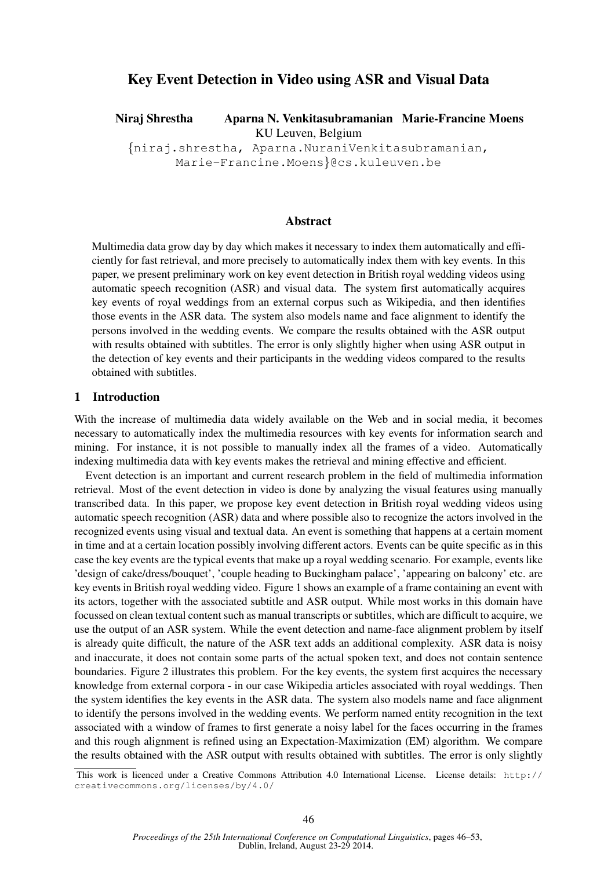# Key Event Detection in Video using ASR and Visual Data

Niraj Shrestha Aparna N. Venkitasubramanian Marie-Francine Moens KU Leuven, Belgium

{niraj.shrestha, Aparna.NuraniVenkitasubramanian, Marie-Francine.Moens}@cs.kuleuven.be

### Abstract

Multimedia data grow day by day which makes it necessary to index them automatically and efficiently for fast retrieval, and more precisely to automatically index them with key events. In this paper, we present preliminary work on key event detection in British royal wedding videos using automatic speech recognition (ASR) and visual data. The system first automatically acquires key events of royal weddings from an external corpus such as Wikipedia, and then identifies those events in the ASR data. The system also models name and face alignment to identify the persons involved in the wedding events. We compare the results obtained with the ASR output with results obtained with subtitles. The error is only slightly higher when using ASR output in the detection of key events and their participants in the wedding videos compared to the results obtained with subtitles.

#### 1 Introduction

With the increase of multimedia data widely available on the Web and in social media, it becomes necessary to automatically index the multimedia resources with key events for information search and mining. For instance, it is not possible to manually index all the frames of a video. Automatically indexing multimedia data with key events makes the retrieval and mining effective and efficient.

Event detection is an important and current research problem in the field of multimedia information retrieval. Most of the event detection in video is done by analyzing the visual features using manually transcribed data. In this paper, we propose key event detection in British royal wedding videos using automatic speech recognition (ASR) data and where possible also to recognize the actors involved in the recognized events using visual and textual data. An event is something that happens at a certain moment in time and at a certain location possibly involving different actors. Events can be quite specific as in this case the key events are the typical events that make up a royal wedding scenario. For example, events like 'design of cake/dress/bouquet', 'couple heading to Buckingham palace', 'appearing on balcony' etc. are key events in British royal wedding video. Figure 1 shows an example of a frame containing an event with its actors, together with the associated subtitle and ASR output. While most works in this domain have focussed on clean textual content such as manual transcripts or subtitles, which are difficult to acquire, we use the output of an ASR system. While the event detection and name-face alignment problem by itself is already quite difficult, the nature of the ASR text adds an additional complexity. ASR data is noisy and inaccurate, it does not contain some parts of the actual spoken text, and does not contain sentence boundaries. Figure 2 illustrates this problem. For the key events, the system first acquires the necessary knowledge from external corpora - in our case Wikipedia articles associated with royal weddings. Then the system identifies the key events in the ASR data. The system also models name and face alignment to identify the persons involved in the wedding events. We perform named entity recognition in the text associated with a window of frames to first generate a noisy label for the faces occurring in the frames and this rough alignment is refined using an Expectation-Maximization (EM) algorithm. We compare the results obtained with the ASR output with results obtained with subtitles. The error is only slightly

This work is licenced under a Creative Commons Attribution 4.0 International License. License details: http:// creativecommons.org/licenses/by/4.0/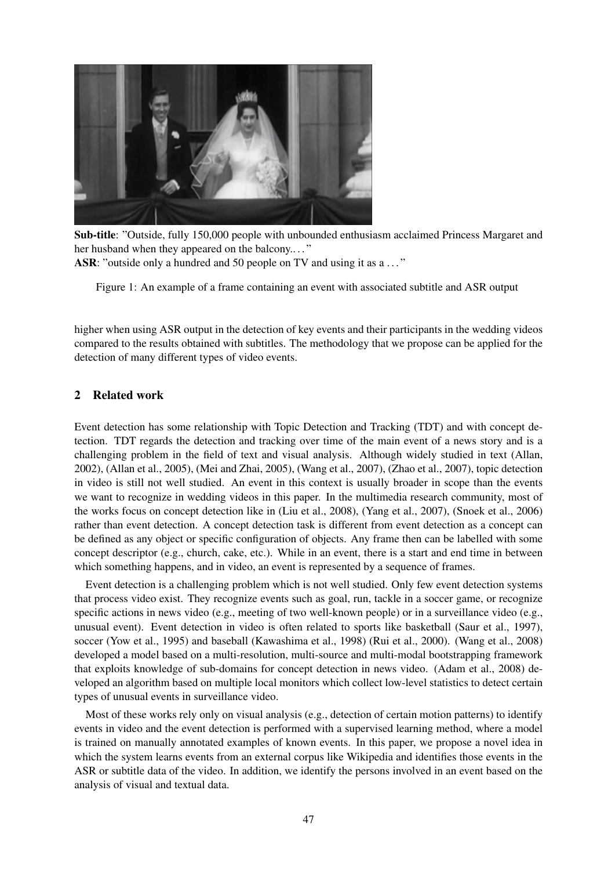

Sub-title: "Outside, fully 150,000 people with unbounded enthusiasm acclaimed Princess Margaret and her husband when they appeared on the balcony...." ASR: "outside only a hundred and 50 people on TV and using it as a ..."

Figure 1: An example of a frame containing an event with associated subtitle and ASR output

higher when using ASR output in the detection of key events and their participants in the wedding videos compared to the results obtained with subtitles. The methodology that we propose can be applied for the detection of many different types of video events.

# 2 Related work

Event detection has some relationship with Topic Detection and Tracking (TDT) and with concept detection. TDT regards the detection and tracking over time of the main event of a news story and is a challenging problem in the field of text and visual analysis. Although widely studied in text (Allan, 2002), (Allan et al., 2005), (Mei and Zhai, 2005), (Wang et al., 2007), (Zhao et al., 2007), topic detection in video is still not well studied. An event in this context is usually broader in scope than the events we want to recognize in wedding videos in this paper. In the multimedia research community, most of the works focus on concept detection like in (Liu et al., 2008), (Yang et al., 2007), (Snoek et al., 2006) rather than event detection. A concept detection task is different from event detection as a concept can be defined as any object or specific configuration of objects. Any frame then can be labelled with some concept descriptor (e.g., church, cake, etc.). While in an event, there is a start and end time in between which something happens, and in video, an event is represented by a sequence of frames.

Event detection is a challenging problem which is not well studied. Only few event detection systems that process video exist. They recognize events such as goal, run, tackle in a soccer game, or recognize specific actions in news video (e.g., meeting of two well-known people) or in a surveillance video (e.g., unusual event). Event detection in video is often related to sports like basketball (Saur et al., 1997), soccer (Yow et al., 1995) and baseball (Kawashima et al., 1998) (Rui et al., 2000). (Wang et al., 2008) developed a model based on a multi-resolution, multi-source and multi-modal bootstrapping framework that exploits knowledge of sub-domains for concept detection in news video. (Adam et al., 2008) developed an algorithm based on multiple local monitors which collect low-level statistics to detect certain types of unusual events in surveillance video.

Most of these works rely only on visual analysis (e.g., detection of certain motion patterns) to identify events in video and the event detection is performed with a supervised learning method, where a model is trained on manually annotated examples of known events. In this paper, we propose a novel idea in which the system learns events from an external corpus like Wikipedia and identifies those events in the ASR or subtitle data of the video. In addition, we identify the persons involved in an event based on the analysis of visual and textual data.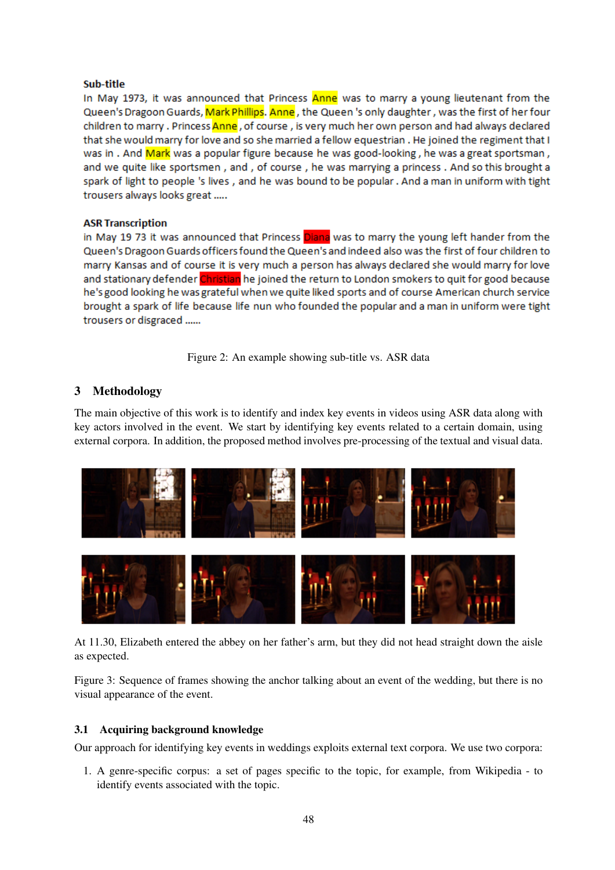# Sub-title

In May 1973, it was announced that Princess Anne was to marry a young lieutenant from the Queen's Dragoon Guards, Mark Phillips. Anne, the Queen 's only daughter, was the first of her four children to marry . Princess Anne, of course, is very much her own person and had always declared that she would marry for love and so she married a fellow equestrian. He joined the regiment that I was in. And Mark was a popular figure because he was good-looking, he was a great sportsman, and we quite like sportsmen, and, of course, he was marrying a princess. And so this brought a spark of light to people 's lives, and he was bound to be popular. And a man in uniform with tight trousers always looks great .....

# **ASR Transcription**

in May 19 73 it was announced that Princess Diana was to marry the young left hander from the Queen's Dragoon Guards officers found the Queen's and indeed also was the first of four children to marry Kansas and of course it is very much a person has always declared she would marry for love and stationary defender Christian he joined the return to London smokers to quit for good because he's good looking he was grateful when we quite liked sports and of course American church service brought a spark of life because life nun who founded the popular and a man in uniform were tight trousers or disgraced ......

Figure 2: An example showing sub-title vs. ASR data

# 3 Methodology

The main objective of this work is to identify and index key events in videos using ASR data along with key actors involved in the event. We start by identifying key events related to a certain domain, using external corpora. In addition, the proposed method involves pre-processing of the textual and visual data.



At 11.30, Elizabeth entered the abbey on her father's arm, but they did not head straight down the aisle as expected.

Figure 3: Sequence of frames showing the anchor talking about an event of the wedding, but there is no visual appearance of the event.

# 3.1 Acquiring background knowledge

Our approach for identifying key events in weddings exploits external text corpora. We use two corpora:

1. A genre-specific corpus: a set of pages specific to the topic, for example, from Wikipedia - to identify events associated with the topic.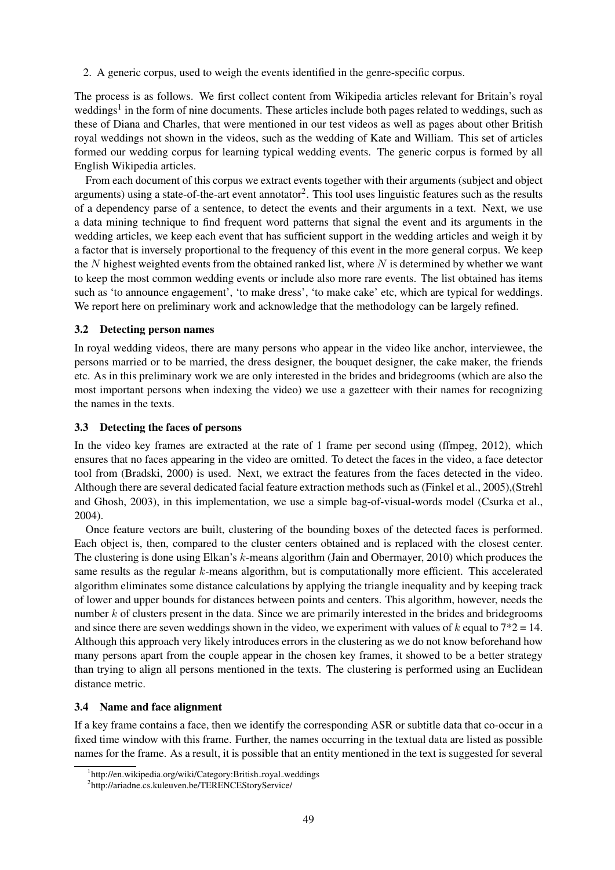2. A generic corpus, used to weigh the events identified in the genre-specific corpus.

The process is as follows. We first collect content from Wikipedia articles relevant for Britain's royal weddings<sup>1</sup> in the form of nine documents. These articles include both pages related to weddings, such as these of Diana and Charles, that were mentioned in our test videos as well as pages about other British royal weddings not shown in the videos, such as the wedding of Kate and William. This set of articles formed our wedding corpus for learning typical wedding events. The generic corpus is formed by all English Wikipedia articles.

From each document of this corpus we extract events together with their arguments (subject and object arguments) using a state-of-the-art event annotator<sup>2</sup>. This tool uses linguistic features such as the results of a dependency parse of a sentence, to detect the events and their arguments in a text. Next, we use a data mining technique to find frequent word patterns that signal the event and its arguments in the wedding articles, we keep each event that has sufficient support in the wedding articles and weigh it by a factor that is inversely proportional to the frequency of this event in the more general corpus. We keep the  $N$  highest weighted events from the obtained ranked list, where  $N$  is determined by whether we want to keep the most common wedding events or include also more rare events. The list obtained has items such as 'to announce engagement', 'to make dress', 'to make cake' etc, which are typical for weddings. We report here on preliminary work and acknowledge that the methodology can be largely refined.

### 3.2 Detecting person names

In royal wedding videos, there are many persons who appear in the video like anchor, interviewee, the persons married or to be married, the dress designer, the bouquet designer, the cake maker, the friends etc. As in this preliminary work we are only interested in the brides and bridegrooms (which are also the most important persons when indexing the video) we use a gazetteer with their names for recognizing the names in the texts.

### 3.3 Detecting the faces of persons

In the video key frames are extracted at the rate of 1 frame per second using (ffmpeg, 2012), which ensures that no faces appearing in the video are omitted. To detect the faces in the video, a face detector tool from (Bradski, 2000) is used. Next, we extract the features from the faces detected in the video. Although there are several dedicated facial feature extraction methods such as (Finkel et al., 2005),(Strehl and Ghosh, 2003), in this implementation, we use a simple bag-of-visual-words model (Csurka et al., 2004).

Once feature vectors are built, clustering of the bounding boxes of the detected faces is performed. Each object is, then, compared to the cluster centers obtained and is replaced with the closest center. The clustering is done using Elkan's k-means algorithm (Jain and Obermayer, 2010) which produces the same results as the regular k-means algorithm, but is computationally more efficient. This accelerated algorithm eliminates some distance calculations by applying the triangle inequality and by keeping track of lower and upper bounds for distances between points and centers. This algorithm, however, needs the number k of clusters present in the data. Since we are primarily interested in the brides and bridegrooms and since there are seven weddings shown in the video, we experiment with values of k equal to  $7*2 = 14$ . Although this approach very likely introduces errors in the clustering as we do not know beforehand how many persons apart from the couple appear in the chosen key frames, it showed to be a better strategy than trying to align all persons mentioned in the texts. The clustering is performed using an Euclidean distance metric.

# 3.4 Name and face alignment

If a key frame contains a face, then we identify the corresponding ASR or subtitle data that co-occur in a fixed time window with this frame. Further, the names occurring in the textual data are listed as possible names for the frame. As a result, it is possible that an entity mentioned in the text is suggested for several

<sup>&</sup>lt;sup>1</sup>http://en.wikipedia.org/wiki/Category:British\_royal\_weddings

<sup>2</sup> http://ariadne.cs.kuleuven.be/TERENCEStoryService/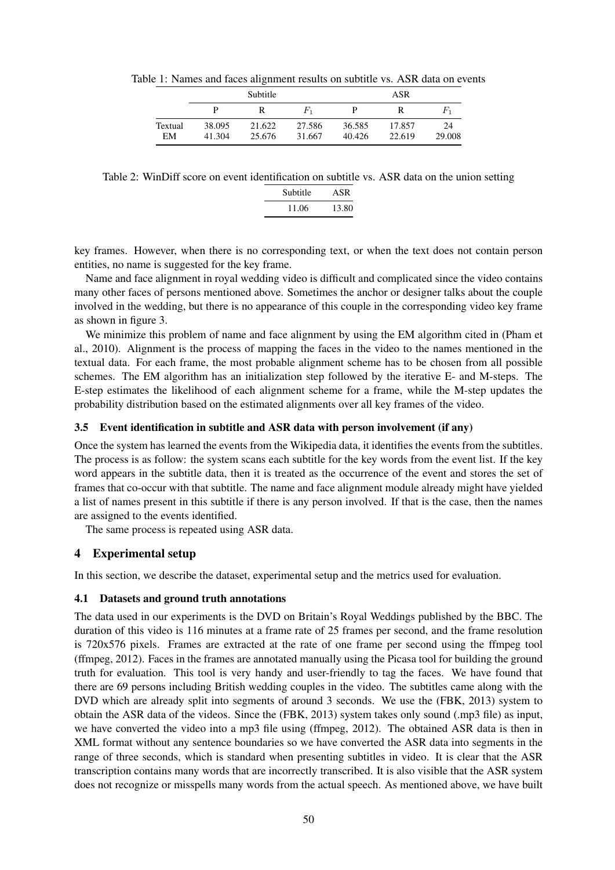Table 1: Names and faces alignment results on subtitle vs. ASR data on events

|               | Subtitle         |                  |                  | ASR              |                  |              |
|---------------|------------------|------------------|------------------|------------------|------------------|--------------|
|               |                  | R                | $F_1$            |                  |                  | $F_1$        |
| Textual<br>EM | 38.095<br>41.304 | 21.622<br>25.676 | 27.586<br>31.667 | 36.585<br>40.426 | 17.857<br>22.619 | 24<br>29.008 |

Table 2: WinDiff score on event identification on subtitle vs. ASR data on the union setting

| Subtitle | ASR   |  |  |
|----------|-------|--|--|
| 11.06    | 13.80 |  |  |

key frames. However, when there is no corresponding text, or when the text does not contain person entities, no name is suggested for the key frame.

Name and face alignment in royal wedding video is difficult and complicated since the video contains many other faces of persons mentioned above. Sometimes the anchor or designer talks about the couple involved in the wedding, but there is no appearance of this couple in the corresponding video key frame as shown in figure 3.

We minimize this problem of name and face alignment by using the EM algorithm cited in (Pham et al., 2010). Alignment is the process of mapping the faces in the video to the names mentioned in the textual data. For each frame, the most probable alignment scheme has to be chosen from all possible schemes. The EM algorithm has an initialization step followed by the iterative E- and M-steps. The E-step estimates the likelihood of each alignment scheme for a frame, while the M-step updates the probability distribution based on the estimated alignments over all key frames of the video.

### 3.5 Event identification in subtitle and ASR data with person involvement (if any)

Once the system has learned the events from the Wikipedia data, it identifies the events from the subtitles. The process is as follow: the system scans each subtitle for the key words from the event list. If the key word appears in the subtitle data, then it is treated as the occurrence of the event and stores the set of frames that co-occur with that subtitle. The name and face alignment module already might have yielded a list of names present in this subtitle if there is any person involved. If that is the case, then the names are assigned to the events identified.

The same process is repeated using ASR data.

# 4 Experimental setup

In this section, we describe the dataset, experimental setup and the metrics used for evaluation.

#### 4.1 Datasets and ground truth annotations

The data used in our experiments is the DVD on Britain's Royal Weddings published by the BBC. The duration of this video is 116 minutes at a frame rate of 25 frames per second, and the frame resolution is 720x576 pixels. Frames are extracted at the rate of one frame per second using the ffmpeg tool (ffmpeg, 2012). Faces in the frames are annotated manually using the Picasa tool for building the ground truth for evaluation. This tool is very handy and user-friendly to tag the faces. We have found that there are 69 persons including British wedding couples in the video. The subtitles came along with the DVD which are already split into segments of around 3 seconds. We use the (FBK, 2013) system to obtain the ASR data of the videos. Since the (FBK, 2013) system takes only sound (.mp3 file) as input, we have converted the video into a mp3 file using (ffmpeg, 2012). The obtained ASR data is then in XML format without any sentence boundaries so we have converted the ASR data into segments in the range of three seconds, which is standard when presenting subtitles in video. It is clear that the ASR transcription contains many words that are incorrectly transcribed. It is also visible that the ASR system does not recognize or misspells many words from the actual speech. As mentioned above, we have built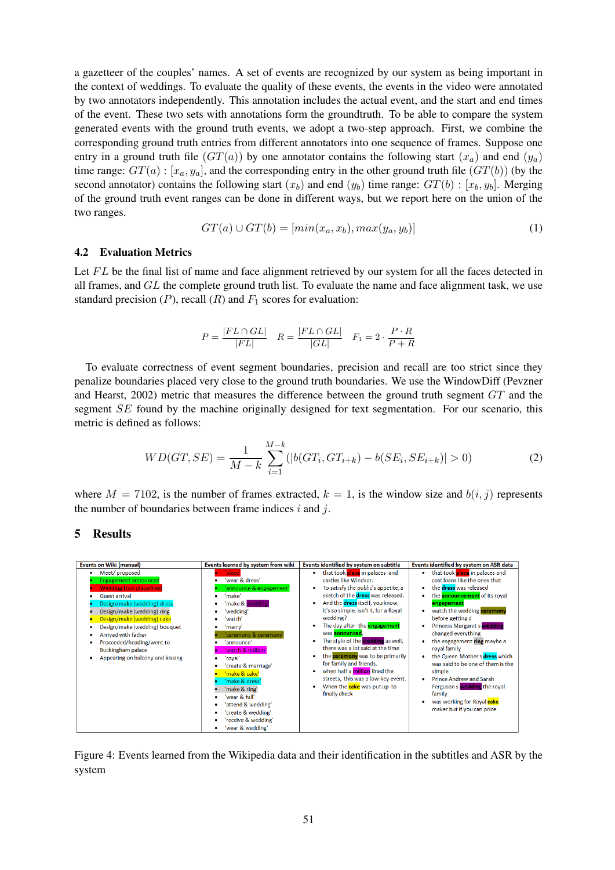a gazetteer of the couples' names. A set of events are recognized by our system as being important in the context of weddings. To evaluate the quality of these events, the events in the video were annotated by two annotators independently. This annotation includes the actual event, and the start and end times of the event. These two sets with annotations form the groundtruth. To be able to compare the system generated events with the ground truth events, we adopt a two-step approach. First, we combine the corresponding ground truth entries from different annotators into one sequence of frames. Suppose one entry in a ground truth file  $(GT(a))$  by one annotator contains the following start  $(x_a)$  and end  $(y_a)$ time range:  $GT(a)$  :  $[x_a, y_a]$ , and the corresponding entry in the other ground truth file  $(GT(b))$  (by the second annotator) contains the following start  $(x_b)$  and end  $(y_b)$  time range:  $GT(b)$  :  $[x_b, y_b]$ . Merging of the ground truth event ranges can be done in different ways, but we report here on the union of the two ranges.

$$
GT(a) \cup GT(b) = [min(x_a, x_b), max(y_a, y_b)] \tag{1}
$$

#### 4.2 Evaluation Metrics

Let  $FL$  be the final list of name and face alignment retrieved by our system for all the faces detected in all frames, and  $GL$  the complete ground truth list. To evaluate the name and face alignment task, we use standard precision  $(P)$ , recall  $(R)$  and  $F_1$  scores for evaluation:

$$
P = \frac{|FL \cap GL|}{|FL|} \quad R = \frac{|FL \cap GL|}{|GL|} \quad F_1 = 2 \cdot \frac{P \cdot R}{P + R}
$$

To evaluate correctness of event segment boundaries, precision and recall are too strict since they penalize boundaries placed very close to the ground truth boundaries. We use the WindowDiff (Pevzner and Hearst, 2002) metric that measures the difference between the ground truth segment GT and the segment SE found by the machine originally designed for text segmentation. For our scenario, this metric is defined as follows:

$$
WD(GT, SE) = \frac{1}{M - k} \sum_{i=1}^{M - k} (|b(GT_i, GT_{i+k}) - b(SE_i, SE_{i+k})| > 0)
$$
\n(2)

where  $M = 7102$ , is the number of frames extracted,  $k = 1$ , is the window size and  $b(i, j)$  represents the number of boundaries between frame indices  $i$  and  $j$ .

#### 5 Results



Figure 4: Events learned from the Wikipedia data and their identification in the subtitles and ASR by the system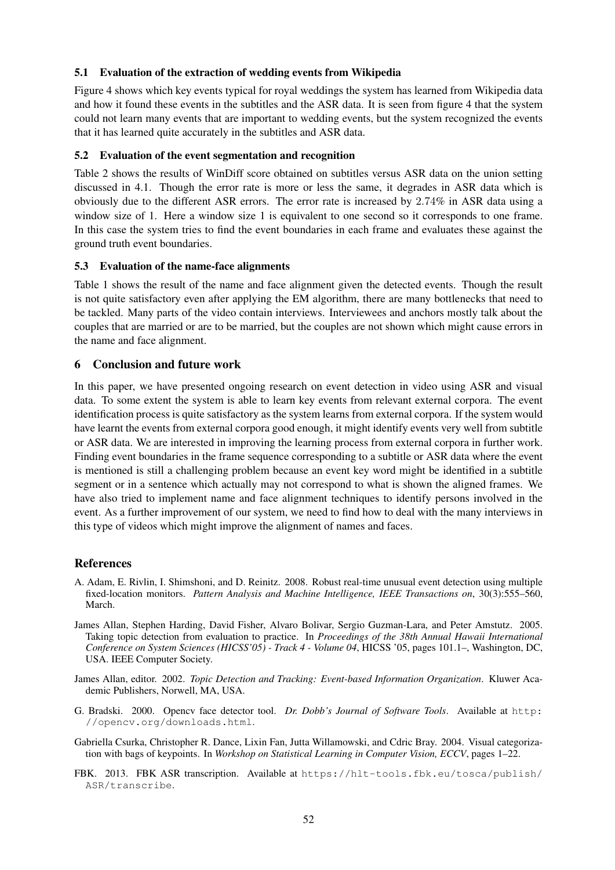# 5.1 Evaluation of the extraction of wedding events from Wikipedia

Figure 4 shows which key events typical for royal weddings the system has learned from Wikipedia data and how it found these events in the subtitles and the ASR data. It is seen from figure 4 that the system could not learn many events that are important to wedding events, but the system recognized the events that it has learned quite accurately in the subtitles and ASR data.

# 5.2 Evaluation of the event segmentation and recognition

Table 2 shows the results of WinDiff score obtained on subtitles versus ASR data on the union setting discussed in 4.1. Though the error rate is more or less the same, it degrades in ASR data which is obviously due to the different ASR errors. The error rate is increased by 2.74% in ASR data using a window size of 1. Here a window size 1 is equivalent to one second so it corresponds to one frame. In this case the system tries to find the event boundaries in each frame and evaluates these against the ground truth event boundaries.

# 5.3 Evaluation of the name-face alignments

Table 1 shows the result of the name and face alignment given the detected events. Though the result is not quite satisfactory even after applying the EM algorithm, there are many bottlenecks that need to be tackled. Many parts of the video contain interviews. Interviewees and anchors mostly talk about the couples that are married or are to be married, but the couples are not shown which might cause errors in the name and face alignment.

# 6 Conclusion and future work

In this paper, we have presented ongoing research on event detection in video using ASR and visual data. To some extent the system is able to learn key events from relevant external corpora. The event identification process is quite satisfactory as the system learns from external corpora. If the system would have learnt the events from external corpora good enough, it might identify events very well from subtitle or ASR data. We are interested in improving the learning process from external corpora in further work. Finding event boundaries in the frame sequence corresponding to a subtitle or ASR data where the event is mentioned is still a challenging problem because an event key word might be identified in a subtitle segment or in a sentence which actually may not correspond to what is shown the aligned frames. We have also tried to implement name and face alignment techniques to identify persons involved in the event. As a further improvement of our system, we need to find how to deal with the many interviews in this type of videos which might improve the alignment of names and faces.

# References

- A. Adam, E. Rivlin, I. Shimshoni, and D. Reinitz. 2008. Robust real-time unusual event detection using multiple fixed-location monitors. *Pattern Analysis and Machine Intelligence, IEEE Transactions on*, 30(3):555–560, March.
- James Allan, Stephen Harding, David Fisher, Alvaro Bolivar, Sergio Guzman-Lara, and Peter Amstutz. 2005. Taking topic detection from evaluation to practice. In *Proceedings of the 38th Annual Hawaii International Conference on System Sciences (HICSS'05) - Track 4 - Volume 04*, HICSS '05, pages 101.1–, Washington, DC, USA. IEEE Computer Society.
- James Allan, editor. 2002. *Topic Detection and Tracking: Event-based Information Organization*. Kluwer Academic Publishers, Norwell, MA, USA.
- G. Bradski. 2000. Opencv face detector tool. *Dr. Dobb's Journal of Software Tools*. Available at http: //opencv.org/downloads.html.
- Gabriella Csurka, Christopher R. Dance, Lixin Fan, Jutta Willamowski, and Cdric Bray. 2004. Visual categorization with bags of keypoints. In *Workshop on Statistical Learning in Computer Vision, ECCV*, pages 1–22.
- FBK. 2013. FBK ASR transcription. Available at https://hlt-tools.fbk.eu/tosca/publish/ ASR/transcribe.